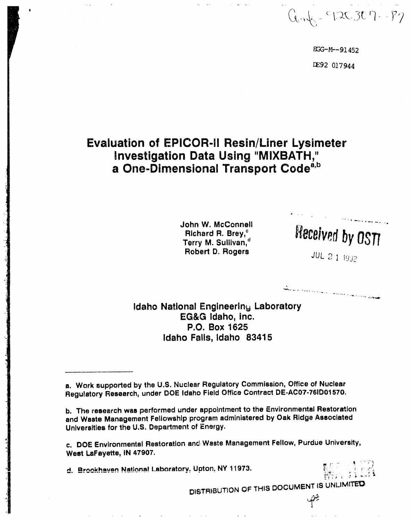$Q_{on}k = 720307 - 87$ 

EGG-M--91452 DE92 017944

# **Evaluation of EPICOR-II Resin/Liner Lysimeter** Investigation Data Using "MIXBATH," a One-Dimensional Transport Code<sup>a,b</sup>

John W. McConnell Richard R. Brey,<sup>c</sup> Terry M. Sullivan.<sup>d</sup> Robert D. Rogers

Received by OSTI

i kiri.<br>Kabupatèn Partai Salamana (Partai Kabupatèn Kabupatèn Kat

Idaho National Engineering Laboratory EG&G Idaho, Inc. P.O. Box 1625 Idaho Falls, Idaho 83415

a. Work supported by the U.S. Nuclear Regulatory Commission, Office of Nuclear Regulatory Research, under DOE Idaho Field Office Contract DE-AC07-76ID01570.

b. The research was performed under appointment to the Environmental Restoration and Waste Management Fellowship program administered by Oak Ridge Associated Universities for the U.S. Department of Energy.

c. DOE Environmental Restoration and Waste Management Fellow, Purdue University, West LaFayette, IN 47907.

d. Brookhaven National Laboratory, Upton, NY 11973.



 $\varphi$ 

DISTRIBUTION OF THIS DOCUMENT IS UNLIMITED

**JUL 2 1 1992**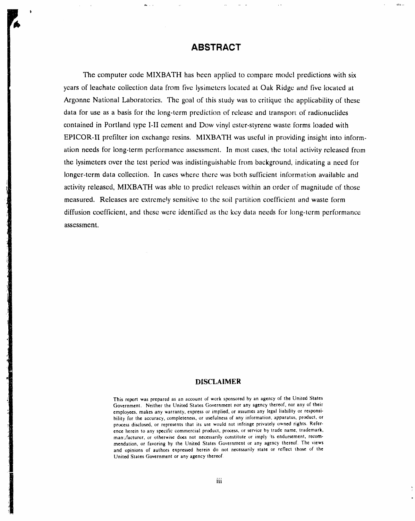### **ABSTRACT**

در جه بندا

The compu**t**er code MIXBATH has been applied to comp**a**re model predictions with six years of leachate collection data from five lysimeters located at Oak Ridge and five located at Argonne National Laboratories. The goal of this study was to critique the applicability of these data for use as a basis for the long-term prediction of release and transport of radionuclides contained in Portland type I-II cement and Dow vinyl ester-styrene waste forms loaded with EPICOR-II prefilter ion exchange resins. MIXBATH was useful in providing insight into information needs for long-term performance assessment. In most cases, the total activity released from the lysimeters over the test period was indistinguishable from background, indicating a need for longer-term data collection. In cases where there was both sufficient information available and activity released, MIXBATH was able to predict releases within an order of magnitude of those measured. Releases are extremely sensitive to the soil partition coefficient and waste form diffusion coefficient, and these were identified as the key data needs for long-term performance assessment.

#### **D**I**SCLAI**M**E**R

*T***h**i**s** rep**o**rt wa*s* prepared as an account **o**f wo**rk** spo**n**s**o**red by an agency o**f** t**h**e United St**a**tes Government. Neither the United States Government nor any agency thereof, nor any of their employees*,* makes any warranty*,* express or implied, or assumes any legal liability or responsibility for the accuracy, completeness, or usefulness of any information, apparatus, product, or process disclosed, or represents that its use would not infringe privately owned rights. Reference herein to any specific commercial product, process, or service by trade name, trademark, manufacturer, or otherwise does not necessarily constitute or imply its endorsement, recommendation, or favoring by **t**he United States Government o**r** any agency thereof. The views and opinions of authors expressed herein do not necessarily state or reflect those of the United States Government or any agency thereof*.*

ii iii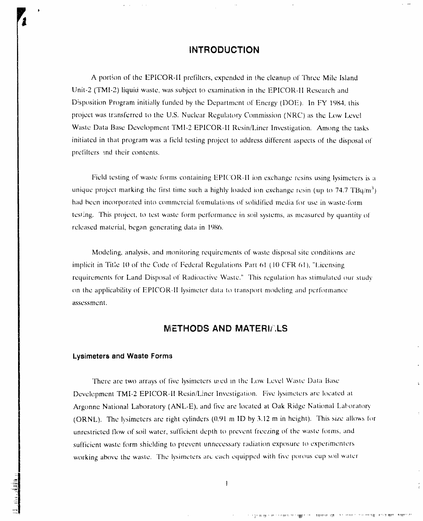### **INTRODUCTION**

A portion of the EPICOR-II prefilters, expended in the cleanup of Three Mile Island Unit-2 (TMI-2) liquid waste, was subject to examination in the EPICOR-II Research and Disposition Program initially funded by the Department of Energy (DOE). In FY 1984, this project was transferred to the U.S. Nuclear Regulatory Commission (NRC) as the Low Level Waste Data Base Development TMI-2 EPICOR-II Resin/Liner Investigation. Among the tasks initiated in that program was a field testing project to address different aspects of the disposal of prefilters and their contents.

Field testing of waste forms containing EPICOR-II ion exchange resins using lysimeters is a unique project marking the first time such a highly loaded ion exchange resin (up to 74.7  $TBq/m<sup>3</sup>$ ) had been incorporated into commercial formulations of solidified media for use in waste-form testing. This project, to test waste form performance in soil systems, as measured by quantity of released material, began generating data in 1986.

Modeling, analysis, and monitoring requirements of waste disposal site conditions are implicit in Title 10 of the Code of Federal Regulations Part 61 (10 CFR 61), "Licensing requirements for Land Disposal of Radioactive Waste." This regulation has stimulated our study on the applicability of EPICOR-II lysimeter data to transport modeling and performance assessment.

### **METHODS AND MATERIALS**

#### Lysimeters and Waste Forms

There are two arrays of five lysimeters used in the Low Level Waste Data Base Development TMI-2 EPICOR-II Resin/Liner Investigation. Five lysimeters are located at Argonne National Laboratory (ANL-E), and five are located at Oak Ridge National Laboratory (ORNL). The lysimeters are right cylinders (0.91 m ID by 3.12 m in height). This size allows for unrestricted flow of soil water, sufficient depth to prevent freezing of the waste forms, and sufficient waste form shielding to prevent unnecessary radiation exposure to experimenters working above the waste. The lysimeters are each equipped with five porous cup soil water

 $\mathbf{I}$ 

À.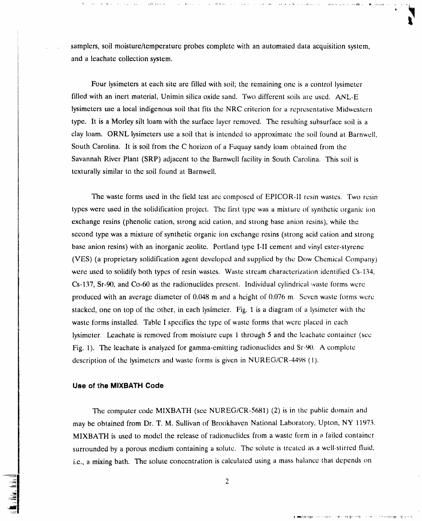.... samplers, soil moisture*/*temperature probes complete with an aut**o**mated data acquisitio*n* system, and a leachate collection system.

,, **,**,q #i \_ \_ , , \_ i , , ,i,**i**,Ii, \_,k Jl .ii,**,**,\_ . ,\_, \_ iJ.lil**d,** "IIi,,llJ\_**L**,II.... , . ,I,

Four lysimeters at each site are filled with soil; the remain**i**ng one is a c**o**ntrol iysimeter filled with an inert material, Unimin silica oxide sand. Two different soils are used. AN*L*-E lysimeters use a local indigenous soil that fits the NRC criterion for a representative Midwcstern type. lt is a Morley silt loa**m** with the surface layer rem**o**ved. The resulting subsurface soil is a clay loam. ORNL lysimeters use a soil that is intcnded to approximate the soil found at Barnwell, South Carolina. It is soil from the C horizon of a Fuquay sandy loam obtained from the Savannah River Plant (SRP) adjacent to the Barnwell facility **i**n South Carc\_lina. This soil is texturally similar to the s**oi**l tound at Barnwell.

The waste forms used in the field test arc composed of EPICOR-II resin wasccs. Two rcsin types were used in the solidification project. The first type was a mixture of synthetic organic ic)n exchange resins (phenolic cation, strong acid cation, and strong base anion resins), while the second type was a mixture of synthetic organic ion exchange resins (strong acid cation and strong base anion resins) with an inorganic zeolite. Portland type I-II cement and vinyl ester-styrene (VES) (a proprietary solidification agent developed and supplied by the Dow Chemical Company) were used to solidify both types of resin wastes. Waste stream characterization identified Cs-134, Cs-137, Sr-90, and Co-60 as the radionuclides prescnt. Individual cylindrical waste forms wcrc produced with an average diameter of  $0.048$  m and a height of  $0.076$  m. Seven waste forms were stacked, one on top of the other, in each lysimeter. Fig. 1 is a diagram of a lysimeter with the waste forms installed. Table I specifies the type of waste forms that were placed in each lysimeter*,* Leachate is removed from moisture cups 1 through 5 and the leachate container (sec Fig. 1). The leachate is analyzed for gamma-emitting radionuclides and Sr-90. A complete description of the lysimeters and waste forms is given in NUREG*/*CR-4498 (1).

#### **Use of the M**I**XBATH Code**

The computer code MIXBATH (see NUREG*/*CR-5681) (2)is in the public do*m*ain and may be obtained from Dr. T. M. Sullivan of Brookhaven National Laboratory*,* Upton, NY 11973. MIXBATH is used to model the release of radionuclides from a waste form in a failed container surrounded by a porous medium containing a solutc. The solute is treated as a well.-stirrcd fluid, i.e, a mixing bath. The solute concentrati**o**n is calculated using a mass balance that depends on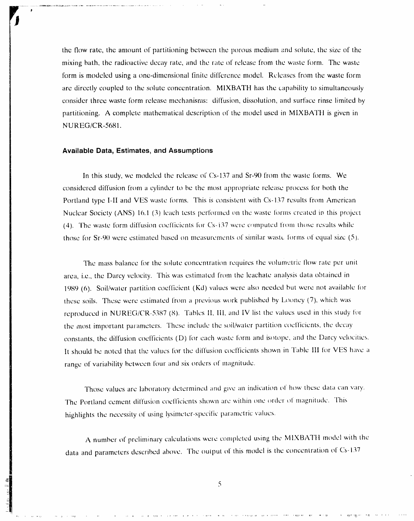the flow rate, the amount of partitioning between the porous medium and solute, the size of the mixing bath, the radioactive decay rate, and the rate of release from the waste form. The waste form is modeled using a one-dimensional finite difference model. Releases from the waste form are directly coupled to the solute concentration. MIXBATH has the capability to simultaneously consider three waste form release mechanisms: diffusion, dissolution, and surface rinse limited by partitioning. A complete mathematical description of the model used in MIXBATH is given in NUREG/CR-5681.

#### **Available Data, Estimates, and Assumptions**

In this study, we modeled the release of Cs-137 and Sr-90 from the waste forms. We considered diffusion from a cylinder to be the most appropriate release process for both the Portland type I-II and VES waste forms. This is consistent with Cs-137 results from American Nuclear Society (ANS) 16.1 (3) leach tests performed on the waste forms created in this project (4). The waste form diffusion coefficients for Cs-137 were computed from those results while those for Sr-90 were estimated based on measurements of similar waste forms of equal size (5).

The mass balance for the solute concentration requires the volumetric flow rate per unit area, i.e., the Darcy velocity. This was estimated from the leachate analysis data obtained in 1989 (6). Soil/water partition coefficient (Kd) values were also needed but were not available for these soils. These were estimated from a previous work published by Looney (7), which was reproduced in NUREG/CR-5387 (8). Tables II, III, and IV list the values used in this study for the most important parameters. These include the soil/water partition coefficients, the decay constants, the diffusion coefficients (D) for each waste form and isotope, and the Darcy velocities. It should be noted that the values for the diffusion coefficients shown in Table III for VES have a range of variability between four and six orders of magnitude.

Those values are laboratory determined and give an indication of how these data can vary. The Portland cement diffusion coefficients shown are within one order of magnitude. This highlights the necessity of using lysimeter-specific parametric values.

A number of preliminary calculations were completed using the MIXBATH model with the data and parameters described above. The output of this model is the concentration of Cs-137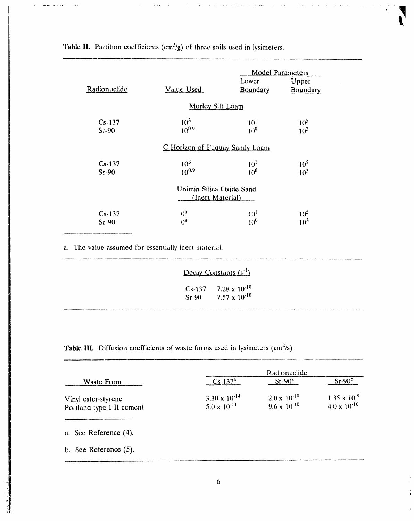| Radionuclide        | Value Used                                   | Lower<br>Boundary                  | <b>Model Parameters</b><br>Upper<br>Boundary |
|---------------------|----------------------------------------------|------------------------------------|----------------------------------------------|
|                     | Morley Silt Loam                             |                                    |                                              |
| $Cs-137$<br>Sr.90   | $10^3$<br>$10^{0.9}$                         | 10 <sup>1</sup><br>10 <sup>0</sup> | 10 <sup>5</sup><br>$10^{3}$                  |
|                     | C Horizon of Fuguay Sandy Loam               |                                    |                                              |
| $Cs-137$<br>$Sr-90$ | 10 <sup>3</sup><br>$10^{0.9}$                | 10 <sup>1</sup><br>10 <sup>0</sup> | $10^{5}$<br>10 <sup>3</sup>                  |
|                     | Unimin Silica Oxide Sand<br>(Inert Material) |                                    |                                              |
| $Cs-137$<br>$Sr-90$ | $0^a$<br>$0^{\rm a}$                         | $10^{1}$<br>$10^{0}$               | 10 <sup>5</sup><br>$10^3$                    |

 $\bar{\mathbf{v}}$ 

Table II. Partition coefficients  $(cm<sup>3</sup>/g)$  of three soils used in lysimeters.

 $\sim$   $\sim$   $\sim$ 

a. The value assumed for essentially inert material.

|  | <u>Decay Constants</u> $(s^{-1})$                        |  |
|--|----------------------------------------------------------|--|
|  | Cs-137 7.28 x $10^{-10}$<br>Sr-90 $7.57 \times 10^{-10}$ |  |

Table III. Diffusion coefficients of waste forms used in lysimeters (cm<sup>2</sup>/s).

| Waste Form                                       | Radionuclide<br>$Sr-90b$<br>$Sr-90a$<br>$Cs - 137a$ |                                                |                                                |
|--------------------------------------------------|-----------------------------------------------------|------------------------------------------------|------------------------------------------------|
| Vinyl ester-styrene<br>Portland type I-II cement | 3.30 x $10^{-14}$<br>$5.0 \times 10^{-11}$          | $2.0 \times 10^{-10}$<br>$9.6 \times 10^{-10}$ | $1.35 \times 10^{-8}$<br>$4.0 \times 10^{-10}$ |
| a. See Reference (4).                            |                                                     |                                                |                                                |
| b. See Reference $(5)$ .                         |                                                     |                                                |                                                |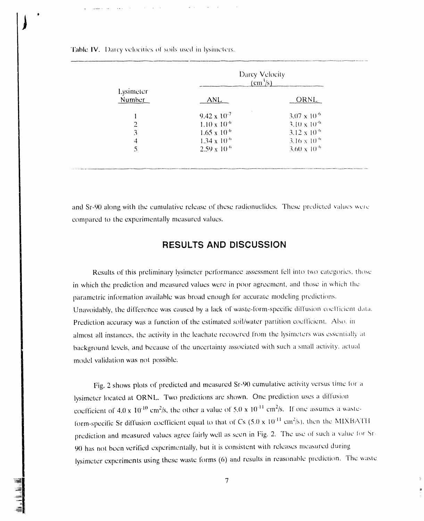| Lysimeter<br>Number |                       | Darcy Velocity<br>$\rm (cm^3/s)$ |
|---------------------|-----------------------|----------------------------------|
|                     | ANL                   | ORNL                             |
|                     | $9.42 \times 10^{-7}$ | $3.07 \times 10^{-6}$            |
|                     | $1.10 \times 10^{-6}$ | $3.10 \times 10^{-6}$            |
| 3                   | $1.65 \times 10^{-6}$ | $3.12 \times 10^{-6}$            |
| 4                   | $1.34 \times 10^{-6}$ | $3.16 \times 10^{-6}$            |
|                     | $2.59 \times 10^{-6}$ | $3.60 \times 10^{-6}$            |

Table IV. Darcy velocities of soils used in lysimeters.

and Sr-90 along with the cumulative release of these radionuclides. These predicted values were compared to the experimentally measured values.

# **RESULTS AND DISCUSSION**

Results of this preliminary lysimeter performance assessment fell into two categories, those in which the prediction and measured values were in poor agreement, and those in which the parametric information available was broad enough for accurate modeling predictions. Unavoidably, the difference was caused by a lack of waste-form-specific diffusion coefficient data. Prediction accuracy was a function of the estimated soil/water partition coefficient. Also, in almost all instances, the activity in the leachate recovered from the lysimeters was essentially at background levels, and because of the uncertainty associated with such a small activity, actual model validation was not possible.

Fig. 2 shows plots of predicted and measured Sr-90 cumulative activity versus time for a lysimeter located at ORNL. Two predictions are shown. One prediction uses a diffusion coefficient of 4.0 x 10<sup>-10</sup> cm<sup>2</sup>/s, the other a value of 5.0 x 10<sup>-11</sup> cm<sup>2</sup>/s. If one assumes a wasteform-specific Sr diffusion coefficient equal to that of Cs  $(5.0 \times 10^{11} \text{ cm}^2/\text{s})$ , then the MIXBATH prediction and measured values agree fairly well as seen in Fig. 2. The use of such a value for Sr-90 has not been verified experimentally, but it is consistent with releases measured during lysimeter experiments using these waste forms (6) and results in reasonable prediction. The waste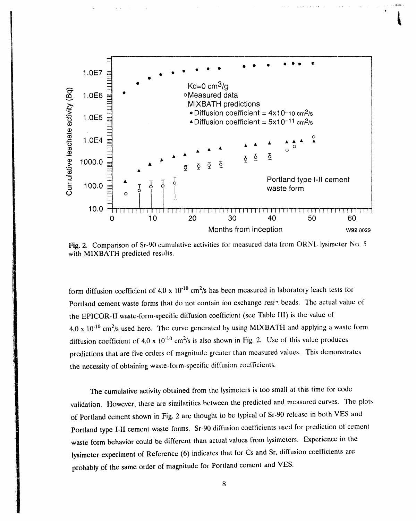

Fig. 2. Comparison of Sr-90 cumulative activities for measured data from ORNL lysimeter No. 5 with MIXBATH predicted results.

form diffusion coefficient of 4.0 x 10<sup>-10</sup> cm<sup>2</sup>/s has been measured in laboratory leach tests for Portland cement waste forms that do not contain ion exchange resipheads. The actual value of the EPICOR-II waste-form-specific diffusion coefficient (see Table III) is the value of  $4.0 \times 10^{-10}$  cm<sup>2</sup>/s used here. The curve generated by using MIXBATH and applying a waste form diffusion coefficient of 4.0 x  $10^{-10}$  cm<sup>2</sup>/s is also shown in Fig. 2. Use of this value produces predictions that are five orders of magnitude greater than measured values. This demonstrates the necessity of obtaining waste-form-specific diffusion coefficients.

The cumulative activity obtained from the lysimeters is too small at this time for code validation. However, there are similarities between the predicted and measured curves. The plots of Portland cement shown in Fig. 2 are thought to be typical of Sr-90 release in both VES and Portland type I-II cement waste forms. Sr-90 diffusion coefficients used for prediction of cement waste form behavior could be different than actual values from lysimeters. Experience in the lysimeter experiment of Reference (6) indicates that for Cs and Sr, diffusion coefficients are probably of the same order of magnitude for Portland cement and VES.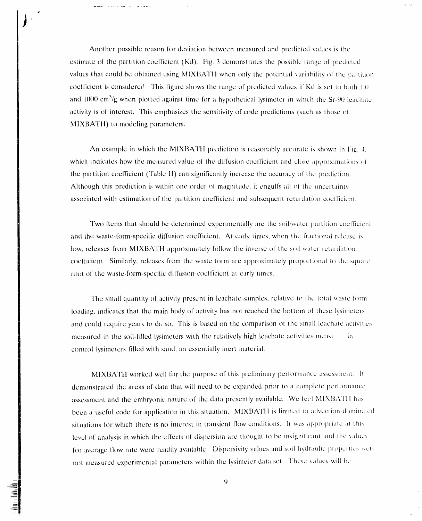Another possible reason for deviation between measured and predicted values is the estimate of the partition coefficient (Kd). Fig. 3 demonstrates the possible range of predicted values that could be obtained using MIXBATH when only the potential variability of the partition coefficient is considered. This figure shows the range of predicted values if Kd is set to both 1.0 and 1000  $\text{cm}^3/\text{g}$  when plotted against time for a hypothetical lysimeter in which the Sr-90 leachate activity is of interest. This emphasizes the sensitivity of code predictions (such as those of MIXBATH) to modeling parameters.

.<br>And an agricultural contract of the contract of the contract of the contract of the contract of the contract of

An example in which the MIXBATH prediction is reasonably accurate is shown in Fig. 4. which indicates how the measured value of the diffusion coefficient and close approximations of the partition coefficient (Table II) can significantly increase the accuracy of the prediction. Although this prediction is within one order of magnitude, it engulfs all of the uncertainty associated with estimation of the partition coefficient and subsequent retardation coefficient.

Two items that should be determined experimentally are the soil/water partition coefficient and the waste-form-specific diffusion coefficient. At early times, when the fractional release is low, releases from MIXBATH approximately follow the inverse of the soil:water retardation coefficient. Similarly, releases from the waste form are approximately proportional to the square root of the waste-form-specific diffusion coefficient at early times.

The small quantity of activity present in leachate samples, relative to the total waste form loading, indicates that the main body of activity has not reached the bottom of these lysimeters and could require years to do so. This is based on the comparison of the small leachate activities measured in the soil-filled lysimeters with the relatively high leachate activities measured in control lysimeters filled with sand, an essentially inert material.

MIXBATH worked well for the purpose of this preliminary performance assessment. It demonstrated the areas of data that will need to be expanded prior to a complete performance assessment and the embryonic nature of the data presently available. We feel MIXBATH has been a useful code for application in this situation. MIXBATH is limited to advection-dominated situations for which there is no interest in transient flow conditions. It was appropriate at this level of analysis in which the effects of dispersion are thought to be insignificant and the values for average flow rate were readily available. Dispersivity values and soil hydraulic properties were not measured experimental parameters within the lysimeter data set. These values will be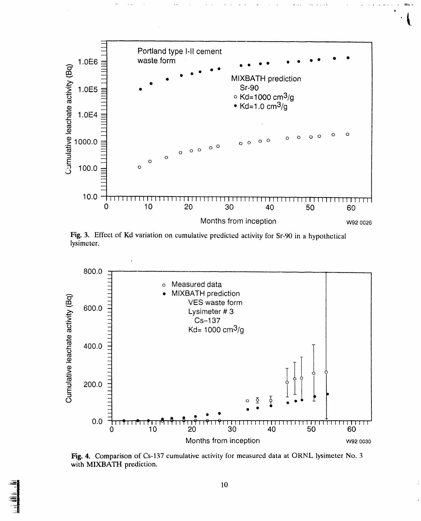

Fig. 3. Effect of Kd variation on cumulative predicted activity for Sr-90 in a hypothetical lysimeter.



Fig. 4. Comparison of Cs-137 cumulative activity for measured data at ORNL lysimeter No. 3 with MIXBATH prediction.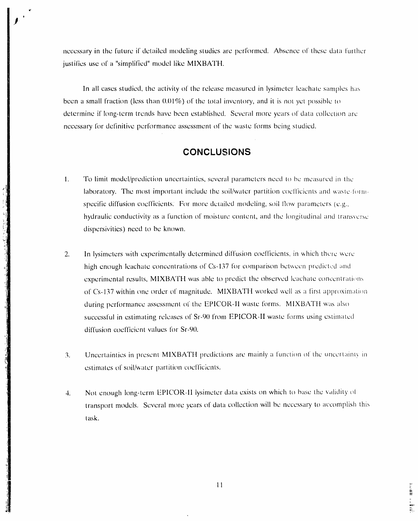necessary in the future if detailed modeling studies are performed. Absence of these data further justifies use of a "simplified" model like MIXBATH.

In all cases studied, the activity of the release measured in lysimeter leachate samples has been a small fraction (less than  $0.01\%$ ) of the total inventory, and it is not yet possible to determine if long-term trends have been established. Several more years of data collection are necessary for definitive performance assessment of the waste forms being studied.

## **CONCLUSIONS**

 $1.$ To limit model/prediction uncertainties, several parameters need to be measured in the laboratory. The most important include the soil/water partition coefficients and waste-formspecific diffusion coefficients. For more detailed modeling, soil flow parameters (e.g., hydraulic conductivity as a function of moisture content, and the longitudinal and transverse dispersivities) need to be known.

- In lysimeters with experimentally determined diffusion coefficients, in which there were 2. high enough leachate concentrations of Cs-137 for comparison between predicted and experimental results, MIXBATH was able to predict the observed leachate concentrations of Cs-137 within one order of magnitude. MIXBATH worked well as a first approximation during performance assessment of the EPICOR-II waste forms. MIXBATH was also successful in estimating releases of Sr-90 from EPICOR-II waste forms using estimated diffusion coefficient values for Sr-90.
- Uncertainties in present MIXBATH predictions are mainly a function of the uncertainty in  $\overline{3}$ . estimates of soil/water partition coefficients.
- Not enough long-term EPICOR-II lysimeter data exists on which to base the validity of  $4.$ transport models. Several more years of data collection will be necessary to accomplish this task.